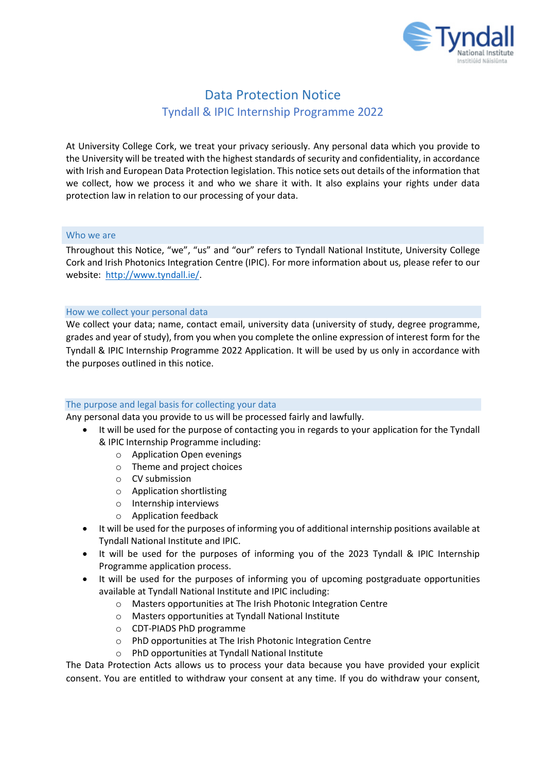

# Data Protection Notice Tyndall & IPIC Internship Programme 2022

At University College Cork, we treat your privacy seriously. Any personal data which you provide to the University will be treated with the highest standards of security and confidentiality, in accordance with Irish and European Data Protection legislation. This notice sets out details of the information that we collect, how we process it and who we share it with. It also explains your rights under data protection law in relation to our processing of your data.

## Who we are

Throughout this Notice, "we", "us" and "our" refers to Tyndall National Institute, University College Cork and Irish Photonics Integration Centre (IPIC). For more information about us, please refer to our website: [http://www.tyndall.ie/.](http://www.tyndall.ie/)

### How we collect your personal data

We collect your data; name, contact email, university data (university of study, degree programme, grades and year of study), from you when you complete the online expression of interest form for the Tyndall & IPIC Internship Programme 2022 Application. It will be used by us only in accordance with the purposes outlined in this notice.

## The purpose and legal basis for collecting your data

Any personal data you provide to us will be processed fairly and lawfully.

- It will be used for the purpose of contacting you in regards to your application for the Tyndall & IPIC Internship Programme including:
	- o Application Open evenings
	- o Theme and project choices
	- o CV submission
	- o Application shortlisting
	- o Internship interviews
	- o Application feedback
- It will be used for the purposes of informing you of additional internship positions available at Tyndall National Institute and IPIC.
- It will be used for the purposes of informing you of the 2023 Tyndall & IPIC Internship Programme application process.
- It will be used for the purposes of informing you of upcoming postgraduate opportunities available at Tyndall National Institute and IPIC including:
	- o Masters opportunities at The Irish Photonic Integration Centre
	- o Masters opportunities at Tyndall National Institute
	- o CDT-PIADS PhD programme
	- o PhD opportunities at The Irish Photonic Integration Centre
	- o PhD opportunities at Tyndall National Institute

The Data Protection Acts allows us to process your data because you have provided your explicit consent. You are entitled to withdraw your consent at any time. If you do withdraw your consent,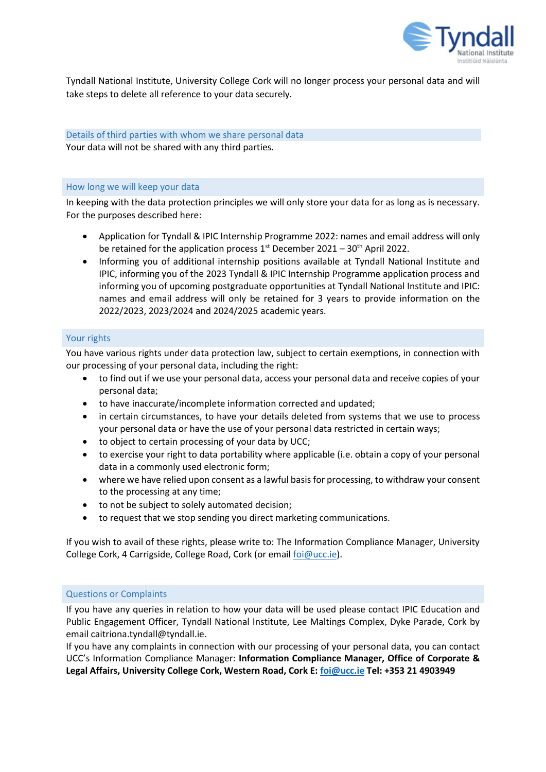

Tyndall National Institute, University College Cork will no longer process your personal data and will take steps to delete all reference to your data securely.

# Details of third parties with whom we share personal data Your data will not be shared with any third parties.

### How long we will keep your data

In keeping with the data protection principles we will only store your data for as long as is necessary. For the purposes described here:

- Application for Tyndall & IPIC Internship Programme 2022: names and email address will only be retained for the application process  $1<sup>st</sup>$  December 2021 – 30<sup>th</sup> April 2022.
- Informing you of additional internship positions available at Tyndall National Institute and IPIC, informing you of the 2023 Tyndall & IPIC Internship Programme application process and informing you of upcoming postgraduate opportunities at Tyndall National Institute and IPIC: names and email address will only be retained for 3 years to provide information on the 2022/2023, 2023/2024 and 2024/2025 academic years.

## Your rights

You have various rights under data protection law, subject to certain exemptions, in connection with our processing of your personal data, including the right:

- to find out if we use your personal data, access your personal data and receive copies of your personal data;
- to have inaccurate/incomplete information corrected and updated;
- in certain circumstances, to have your details deleted from systems that we use to process your personal data or have the use of your personal data restricted in certain ways;
- to object to certain processing of your data by UCC;
- to exercise your right to data portability where applicable (i.e. obtain a copy of your personal data in a commonly used electronic form;
- where we have relied upon consent as a lawful basis for processing, to withdraw your consent to the processing at any time;
- to not be subject to solely automated decision;
- to request that we stop sending you direct marketing communications.

If you wish to avail of these rights, please write to: The Information Compliance Manager, University College Cork, 4 Carrigside, College Road, Cork (or email [foi@ucc.ie\)](mailto:foi@ucc.ie).

## Questions or Complaints

If you have any queries in relation to how your data will be used please contact IPIC Education and Public Engagement Officer, Tyndall National Institute, Lee Maltings Complex, Dyke Parade, Cork by email caitriona.tyndall@tyndall.ie.

If you have any complaints in connection with our processing of your personal data, you can contact UCC's Information Compliance Manager: **Information Compliance Manager, Office of Corporate & Legal Affairs, University College Cork, Western Road, Cork E: [foi@ucc.ie](mailto:foi@ucc.ie) Tel: +353 21 4903949**